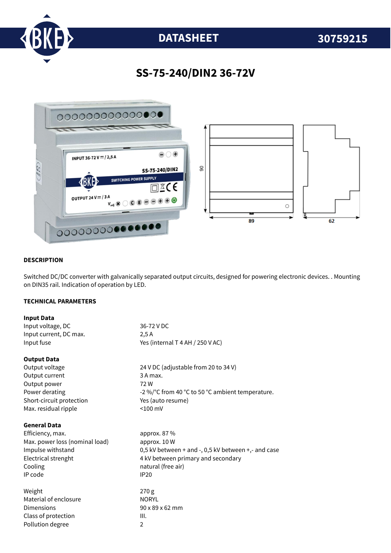

# **DATASHEET 30759215**

### **SS-75-240/DIN2 36-72V**



#### **DESCRIPTION**

Switched DC/DC converter with galvanically separated output circuits, designed for powering electronic devices. . Mounting on DIN35 rail. Indication of operation by LED.

#### **TECHNICAL PARAMETERS**

| <b>Input Data</b>              |                                                     |
|--------------------------------|-----------------------------------------------------|
| Input voltage, DC              | 36-72 V DC                                          |
| Input current, DC max.         | 2.5A                                                |
| Input fuse                     | Yes (internal T 4 AH / 250 V AC)                    |
| <b>Output Data</b>             |                                                     |
| Output voltage                 | 24 V DC (adjustable from 20 to 34 V)                |
| Output current                 | 3 A max.                                            |
| Output power                   | 72W                                                 |
| Power derating                 | -2 %/°C from 40 °C to 50 °C ambient temperature.    |
| Short-circuit protection       | Yes (auto resume)                                   |
| Max. residual ripple           | $< 100$ mV                                          |
| <b>General Data</b>            |                                                     |
| Efficiency, max.               | approx. 87 %                                        |
| Max. power loss (nominal load) | approx. 10 W                                        |
| Impulse withstand              | 0,5 kV between + and -, 0,5 kV between +,- and case |
| Electrical strenght            | 4 kV between primary and secondary                  |
| Cooling                        | natural (free air)                                  |
| IP code                        | <b>IP20</b>                                         |
| Weight                         | 270 g                                               |
| Material of enclosure          | <b>NORYL</b>                                        |
| Dimensions                     | 90 x 89 x 62 mm                                     |
| Class of protection            | III.                                                |
| Pollution degree               | $\overline{2}$                                      |
|                                |                                                     |